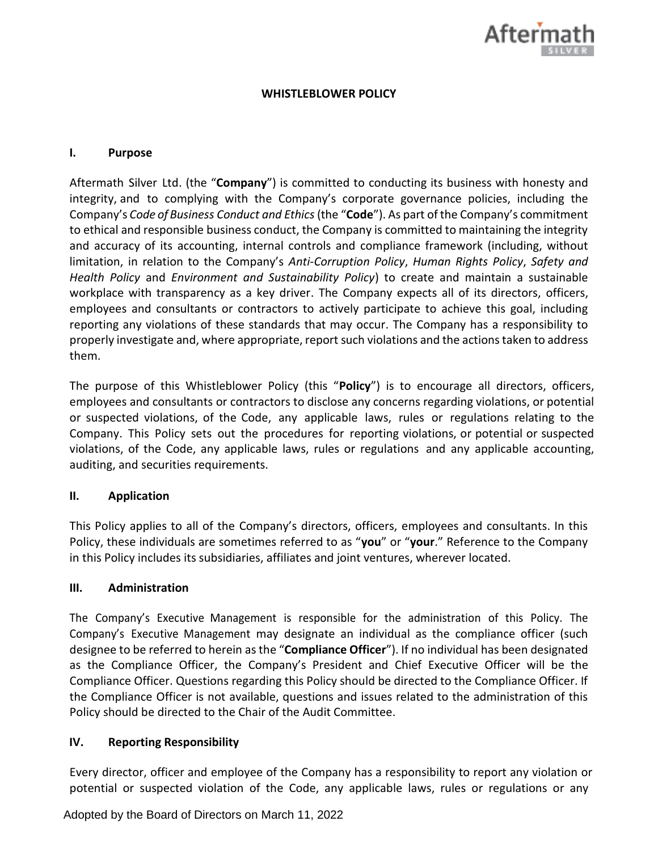

#### **WHISTLEBLOWER POLICY**

### **I. Purpose**

Aftermath Silver Ltd. (the "**Company**") is committed to conducting its business with honesty and integrity, and to complying with the Company's corporate governance policies, including the Company's *Code of Business Conduct and Ethics* (the "**Code**"). As part of the Company's commitment to ethical and responsible business conduct, the Company is committed to maintaining the integrity and accuracy of its accounting, internal controls and compliance framework (including, without limitation, in relation to the Company's *Anti-Corruption Policy*, *Human Rights Policy*, *Safety and Health Policy* and *Environment and Sustainability Policy*) to create and maintain a sustainable workplace with transparency as a key driver. The Company expects all of its directors, officers, employees and consultants or contractors to actively participate to achieve this goal, including reporting any violations of these standards that may occur. The Company has a responsibility to properly investigate and, where appropriate, report such violations and the actionstaken to address them.

The purpose of this Whistleblower Policy (this "**Policy**") is to encourage all directors, officers, employees and consultants or contractors to disclose any concerns regarding violations, or potential or suspected violations, of the Code, any applicable laws, rules or regulations relating to the Company. This Policy sets out the procedures for reporting violations, or potential or suspected violations, of the Code, any applicable laws, rules or regulations and any applicable accounting, auditing, and securities requirements.

### **II. Application**

This Policy applies to all of the Company's directors, officers, employees and consultants. In this Policy, these individuals are sometimes referred to as "**you**" or "**your**." Reference to the Company in this Policy includes its subsidiaries, affiliates and joint ventures, wherever located.

### **III. Administration**

The Company's Executive Management is responsible for the administration of this Policy. The Company's Executive Management may designate an individual as the compliance officer (such designee to be referred to herein as the "**Compliance Officer**"). If no individual has been designated as the Compliance Officer, the Company's President and Chief Executive Officer will be the Compliance Officer. Questions regarding this Policy should be directed to the Compliance Officer. If the Compliance Officer is not available, questions and issues related to the administration of this Policy should be directed to the Chair of the Audit Committee.

### **IV. Reporting Responsibility**

Every director, officer and employee of the Company has a responsibility to report any violation or potential or suspected violation of the Code, any applicable laws, rules or regulations or any

Adopted by the Board of Directors on March 11, 2022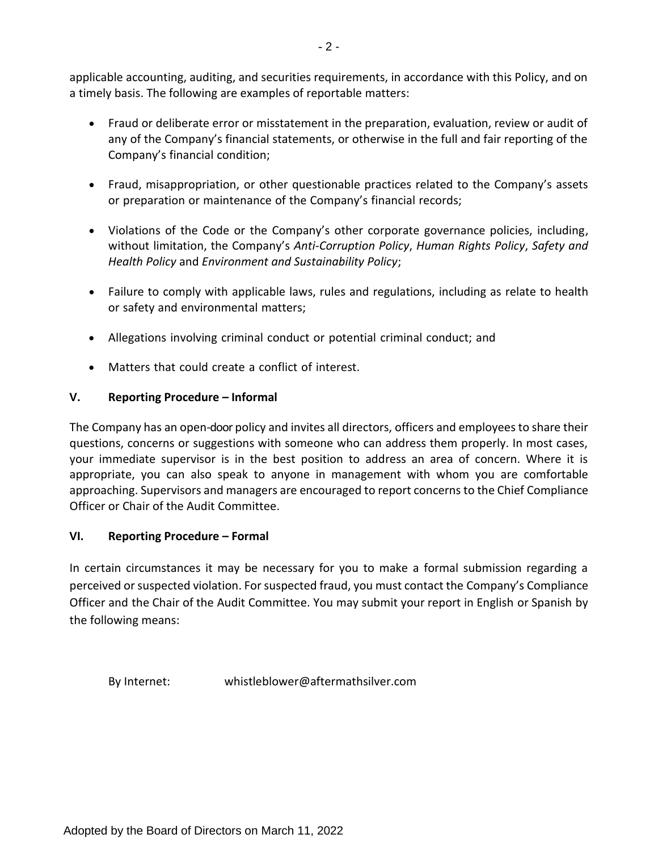applicable accounting, auditing, and securities requirements, in accordance with this Policy, and on a timely basis. The following are examples of reportable matters:

- Fraud or deliberate error or misstatement in the preparation, evaluation, review or audit of any of the Company's financial statements, or otherwise in the full and fair reporting of the Company's financial condition;
- Fraud, misappropriation, or other questionable practices related to the Company's assets or preparation or maintenance of the Company's financial records;
- Violations of the Code or the Company's other corporate governance policies, including, without limitation, the Company's *Anti-Corruption Policy*, *Human Rights Policy*, *Safety and Health Policy* and *Environment and Sustainability Policy*;
- Failure to comply with applicable laws, rules and regulations, including as relate to health or safety and environmental matters;
- Allegations involving criminal conduct or potential criminal conduct; and
- Matters that could create a conflict of interest.

# **V. Reporting Procedure – Informal**

The Company has an open-door policy and invites all directors, officers and employeesto share their questions, concerns or suggestions with someone who can address them properly. In most cases, your immediate supervisor is in the best position to address an area of concern. Where it is appropriate, you can also speak to anyone in management with whom you are comfortable approaching. Supervisors and managers are encouraged to report concerns to the Chief Compliance Officer or Chair of the Audit Committee.

### **VI. Reporting Procedure – Formal**

In certain circumstances it may be necessary for you to make a formal submission regarding a perceived or suspected violation. For suspected fraud, you must contact the Company's Compliance Officer and the Chair of the Audit Committee. You may submit your report in English or Spanish by the following means:

By Internet: whistleblower@aftermathsilver.com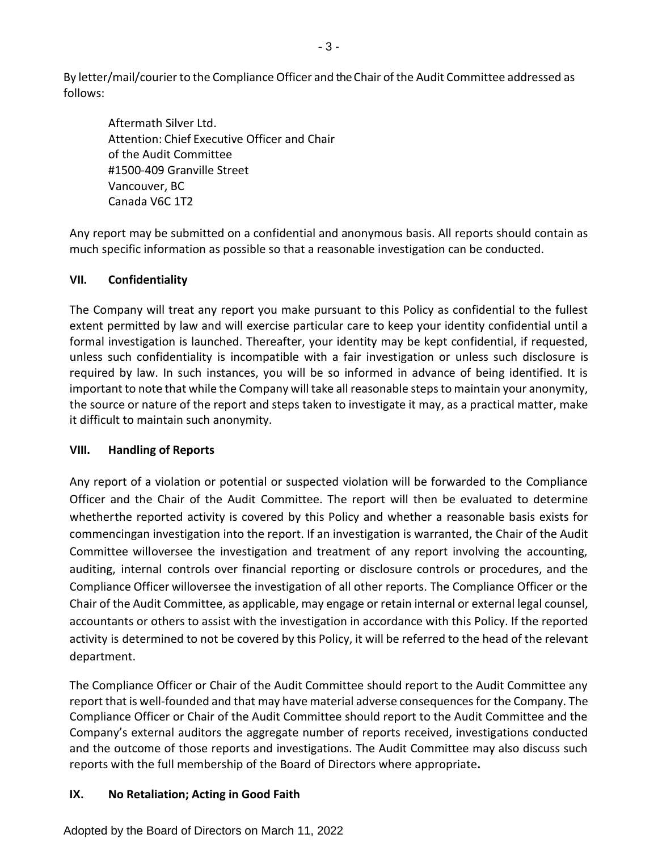By letter/mail/courier to the Compliance Officer and the Chair of the Audit Committee addressed as follows:

Aftermath Silver Ltd. Attention: Chief Executive Officer and Chair of the Audit Committee #1500-409 Granville Street Vancouver, BC Canada V6C 1T2

Any report may be submitted on a confidential and anonymous basis. All reports should contain as much specific information as possible so that a reasonable investigation can be conducted.

## **VII. Confidentiality**

The Company will treat any report you make pursuant to this Policy as confidential to the fullest extent permitted by law and will exercise particular care to keep your identity confidential until a formal investigation is launched. Thereafter, your identity may be kept confidential, if requested, unless such confidentiality is incompatible with a fair investigation or unless such disclosure is required by law. In such instances, you will be so informed in advance of being identified. It is important to note that while the Company will take all reasonable steps to maintain your anonymity, the source or nature of the report and steps taken to investigate it may, as a practical matter, make it difficult to maintain such anonymity.

### **VIII. Handling of Reports**

Any report of a violation or potential or suspected violation will be forwarded to the Compliance Officer and the Chair of the Audit Committee. The report will then be evaluated to determine whetherthe reported activity is covered by this Policy and whether a reasonable basis exists for commencingan investigation into the report. If an investigation is warranted, the Chair of the Audit Committee willoversee the investigation and treatment of any report involving the accounting, auditing, internal controls over financial reporting or disclosure controls or procedures, and the Compliance Officer willoversee the investigation of all other reports. The Compliance Officer or the Chair of the Audit Committee, as applicable, may engage or retain internal or external legal counsel, accountants or others to assist with the investigation in accordance with this Policy. If the reported activity is determined to not be covered by this Policy, it will be referred to the head of the relevant department.

The Compliance Officer or Chair of the Audit Committee should report to the Audit Committee any report that is well-founded and that may have material adverse consequencesfor the Company. The Compliance Officer or Chair of the Audit Committee should report to the Audit Committee and the Company's external auditors the aggregate number of reports received, investigations conducted and the outcome of those reports and investigations. The Audit Committee may also discuss such reports with the full membership of the Board of Directors where appropriate**.**

### **IX. No Retaliation; Acting in Good Faith**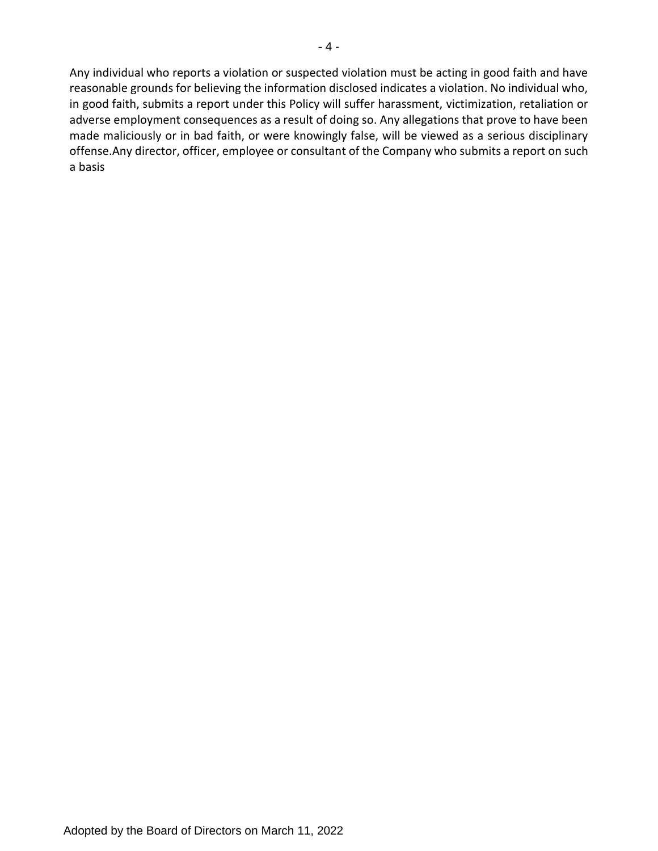Any individual who reports a violation or suspected violation must be acting in good faith and have reasonable grounds for believing the information disclosed indicates a violation. No individual who, in good faith, submits a report under this Policy will suffer harassment, victimization, retaliation or adverse employment consequences as a result of doing so. Any allegations that prove to have been made maliciously or in bad faith, or were knowingly false, will be viewed as a serious disciplinary offense.Any director, officer, employee or consultant of the Company who submits a report on such a basis